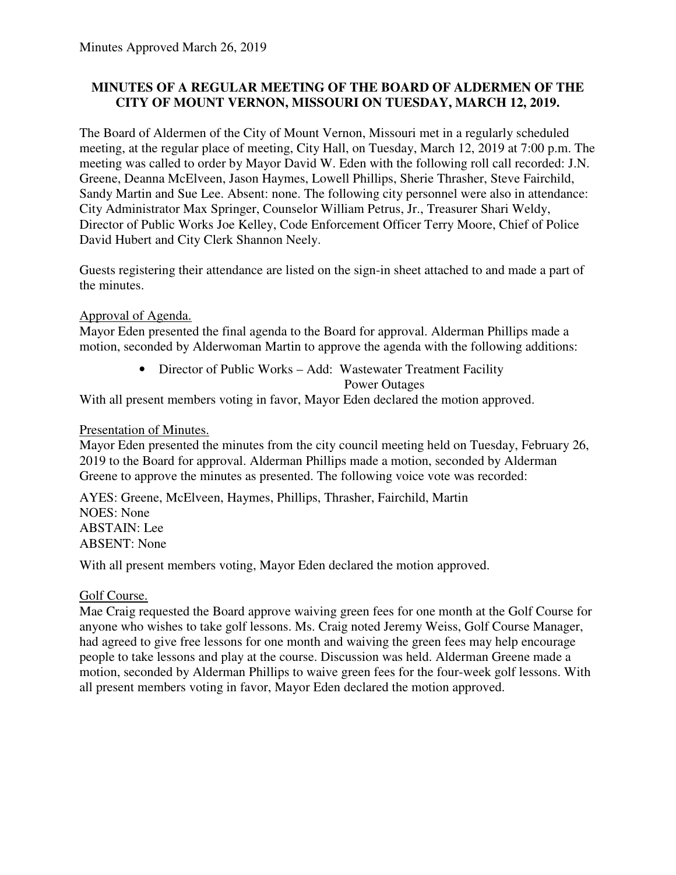## **MINUTES OF A REGULAR MEETING OF THE BOARD OF ALDERMEN OF THE CITY OF MOUNT VERNON, MISSOURI ON TUESDAY, MARCH 12, 2019.**

The Board of Aldermen of the City of Mount Vernon, Missouri met in a regularly scheduled meeting, at the regular place of meeting, City Hall, on Tuesday, March 12, 2019 at 7:00 p.m. The meeting was called to order by Mayor David W. Eden with the following roll call recorded: J.N. Greene, Deanna McElveen, Jason Haymes, Lowell Phillips, Sherie Thrasher, Steve Fairchild, Sandy Martin and Sue Lee. Absent: none. The following city personnel were also in attendance: City Administrator Max Springer, Counselor William Petrus, Jr., Treasurer Shari Weldy, Director of Public Works Joe Kelley, Code Enforcement Officer Terry Moore, Chief of Police David Hubert and City Clerk Shannon Neely.

Guests registering their attendance are listed on the sign-in sheet attached to and made a part of the minutes.

### Approval of Agenda.

Mayor Eden presented the final agenda to the Board for approval. Alderman Phillips made a motion, seconded by Alderwoman Martin to approve the agenda with the following additions:

> • Director of Public Works – Add: Wastewater Treatment Facility Power Outages

With all present members voting in favor, Mayor Eden declared the motion approved.

### Presentation of Minutes.

Mayor Eden presented the minutes from the city council meeting held on Tuesday, February 26, 2019 to the Board for approval. Alderman Phillips made a motion, seconded by Alderman Greene to approve the minutes as presented. The following voice vote was recorded:

AYES: Greene, McElveen, Haymes, Phillips, Thrasher, Fairchild, Martin NOES: None ABSTAIN: Lee ABSENT: None

With all present members voting, Mayor Eden declared the motion approved.

## Golf Course.

Mae Craig requested the Board approve waiving green fees for one month at the Golf Course for anyone who wishes to take golf lessons. Ms. Craig noted Jeremy Weiss, Golf Course Manager, had agreed to give free lessons for one month and waiving the green fees may help encourage people to take lessons and play at the course. Discussion was held. Alderman Greene made a motion, seconded by Alderman Phillips to waive green fees for the four-week golf lessons. With all present members voting in favor, Mayor Eden declared the motion approved.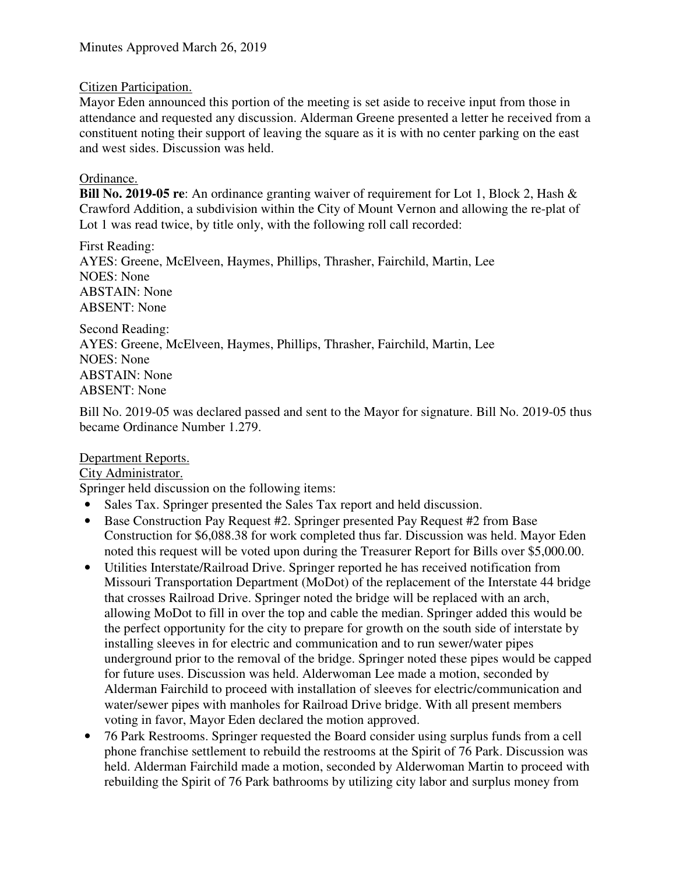### Citizen Participation.

Mayor Eden announced this portion of the meeting is set aside to receive input from those in attendance and requested any discussion. Alderman Greene presented a letter he received from a constituent noting their support of leaving the square as it is with no center parking on the east and west sides. Discussion was held.

## Ordinance.

**Bill No. 2019-05 re**: An ordinance granting waiver of requirement for Lot 1, Block 2, Hash & Crawford Addition, a subdivision within the City of Mount Vernon and allowing the re-plat of Lot 1 was read twice, by title only, with the following roll call recorded:

First Reading: AYES: Greene, McElveen, Haymes, Phillips, Thrasher, Fairchild, Martin, Lee NOES: None ABSTAIN: None ABSENT: None

Second Reading: AYES: Greene, McElveen, Haymes, Phillips, Thrasher, Fairchild, Martin, Lee NOES: None ABSTAIN: None ABSENT: None

Bill No. 2019-05 was declared passed and sent to the Mayor for signature. Bill No. 2019-05 thus became Ordinance Number 1.279.

### Department Reports.

### City Administrator.

Springer held discussion on the following items:

- Sales Tax. Springer presented the Sales Tax report and held discussion.
- Base Construction Pay Request #2. Springer presented Pay Request #2 from Base Construction for \$6,088.38 for work completed thus far. Discussion was held. Mayor Eden noted this request will be voted upon during the Treasurer Report for Bills over \$5,000.00.
- Utilities Interstate/Railroad Drive. Springer reported he has received notification from Missouri Transportation Department (MoDot) of the replacement of the Interstate 44 bridge that crosses Railroad Drive. Springer noted the bridge will be replaced with an arch, allowing MoDot to fill in over the top and cable the median. Springer added this would be the perfect opportunity for the city to prepare for growth on the south side of interstate by installing sleeves in for electric and communication and to run sewer/water pipes underground prior to the removal of the bridge. Springer noted these pipes would be capped for future uses. Discussion was held. Alderwoman Lee made a motion, seconded by Alderman Fairchild to proceed with installation of sleeves for electric/communication and water/sewer pipes with manholes for Railroad Drive bridge. With all present members voting in favor, Mayor Eden declared the motion approved.
- 76 Park Restrooms. Springer requested the Board consider using surplus funds from a cell phone franchise settlement to rebuild the restrooms at the Spirit of 76 Park. Discussion was held. Alderman Fairchild made a motion, seconded by Alderwoman Martin to proceed with rebuilding the Spirit of 76 Park bathrooms by utilizing city labor and surplus money from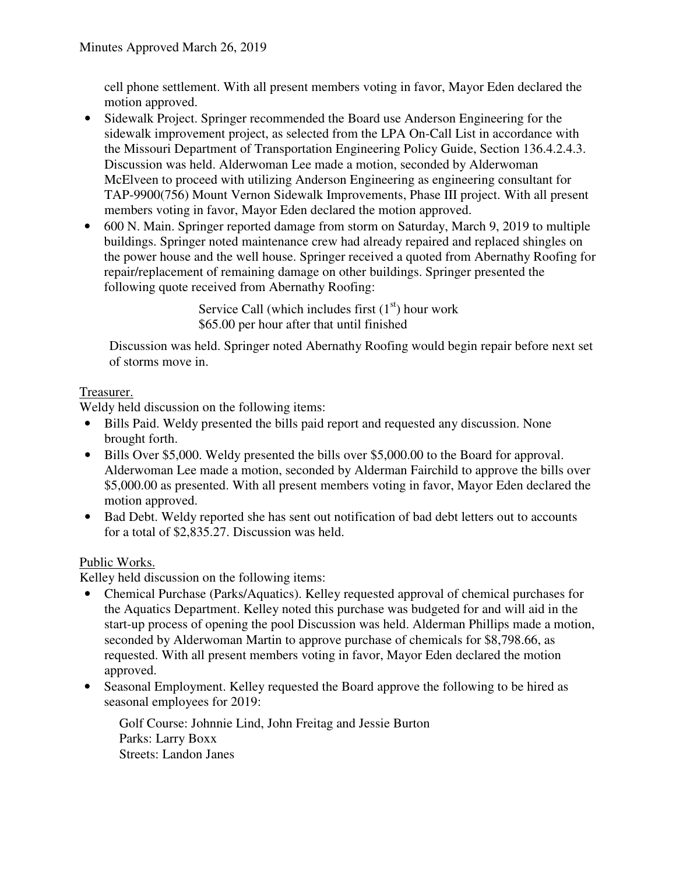cell phone settlement. With all present members voting in favor, Mayor Eden declared the motion approved.

- Sidewalk Project. Springer recommended the Board use Anderson Engineering for the sidewalk improvement project, as selected from the LPA On-Call List in accordance with the Missouri Department of Transportation Engineering Policy Guide, Section 136.4.2.4.3. Discussion was held. Alderwoman Lee made a motion, seconded by Alderwoman McElveen to proceed with utilizing Anderson Engineering as engineering consultant for TAP-9900(756) Mount Vernon Sidewalk Improvements, Phase III project. With all present members voting in favor, Mayor Eden declared the motion approved.
- 600 N. Main. Springer reported damage from storm on Saturday, March 9, 2019 to multiple buildings. Springer noted maintenance crew had already repaired and replaced shingles on the power house and the well house. Springer received a quoted from Abernathy Roofing for repair/replacement of remaining damage on other buildings. Springer presented the following quote received from Abernathy Roofing:

Service Call (which includes first  $(1<sup>st</sup>)$  hour work \$65.00 per hour after that until finished

 Discussion was held. Springer noted Abernathy Roofing would begin repair before next set of storms move in.

## Treasurer.

Weldy held discussion on the following items:

- Bills Paid. Weldy presented the bills paid report and requested any discussion. None brought forth.
- Bills Over \$5,000. Weldy presented the bills over \$5,000.00 to the Board for approval. Alderwoman Lee made a motion, seconded by Alderman Fairchild to approve the bills over \$5,000.00 as presented. With all present members voting in favor, Mayor Eden declared the motion approved.
- Bad Debt. Weldy reported she has sent out notification of bad debt letters out to accounts for a total of \$2,835.27. Discussion was held.

# Public Works.

Kelley held discussion on the following items:

- Chemical Purchase (Parks/Aquatics). Kelley requested approval of chemical purchases for the Aquatics Department. Kelley noted this purchase was budgeted for and will aid in the start-up process of opening the pool Discussion was held. Alderman Phillips made a motion, seconded by Alderwoman Martin to approve purchase of chemicals for \$8,798.66, as requested. With all present members voting in favor, Mayor Eden declared the motion approved.
- Seasonal Employment. Kelley requested the Board approve the following to be hired as seasonal employees for 2019:

Golf Course: Johnnie Lind, John Freitag and Jessie Burton Parks: Larry Boxx Streets: Landon Janes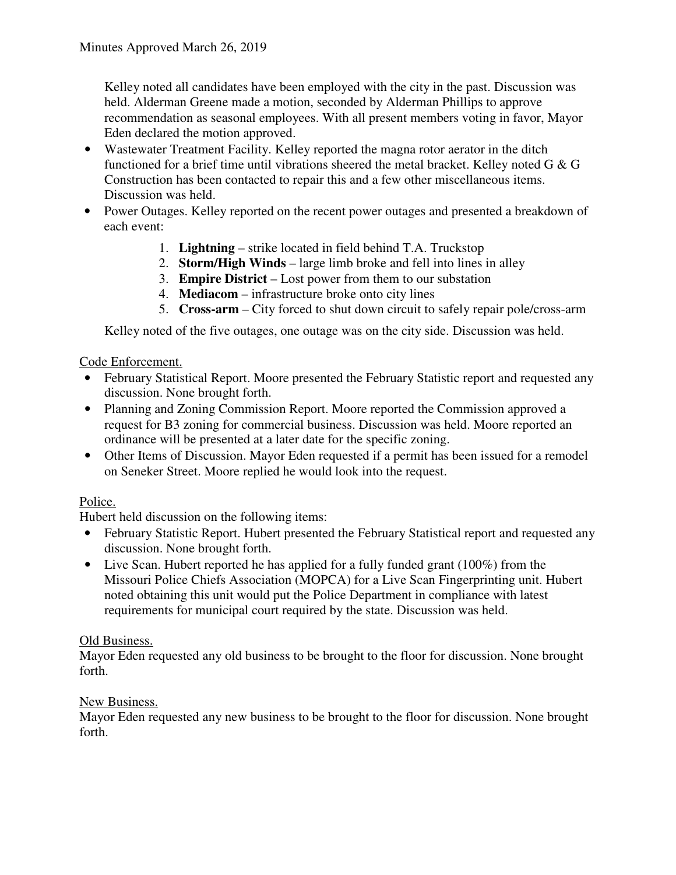Kelley noted all candidates have been employed with the city in the past. Discussion was held. Alderman Greene made a motion, seconded by Alderman Phillips to approve recommendation as seasonal employees. With all present members voting in favor, Mayor Eden declared the motion approved.

- Wastewater Treatment Facility. Kelley reported the magna rotor aerator in the ditch functioned for a brief time until vibrations sheered the metal bracket. Kelley noted G & G Construction has been contacted to repair this and a few other miscellaneous items. Discussion was held.
- Power Outages. Kelley reported on the recent power outages and presented a breakdown of each event:
	- 1. **Lightning** strike located in field behind T.A. Truckstop
	- 2. **Storm/High Winds** large limb broke and fell into lines in alley
	- 3. **Empire District** Lost power from them to our substation
	- 4. **Mediacom** infrastructure broke onto city lines
	- 5. **Cross-arm** City forced to shut down circuit to safely repair pole/cross-arm

Kelley noted of the five outages, one outage was on the city side. Discussion was held.

### Code Enforcement.

- February Statistical Report. Moore presented the February Statistic report and requested any discussion. None brought forth.
- Planning and Zoning Commission Report. Moore reported the Commission approved a request for B3 zoning for commercial business. Discussion was held. Moore reported an ordinance will be presented at a later date for the specific zoning.
- Other Items of Discussion. Mayor Eden requested if a permit has been issued for a remodel on Seneker Street. Moore replied he would look into the request.

### Police.

Hubert held discussion on the following items:

- February Statistic Report. Hubert presented the February Statistical report and requested any discussion. None brought forth.
- Live Scan. Hubert reported he has applied for a fully funded grant (100%) from the Missouri Police Chiefs Association (MOPCA) for a Live Scan Fingerprinting unit. Hubert noted obtaining this unit would put the Police Department in compliance with latest requirements for municipal court required by the state. Discussion was held.

### Old Business.

Mayor Eden requested any old business to be brought to the floor for discussion. None brought forth.

### New Business.

Mayor Eden requested any new business to be brought to the floor for discussion. None brought forth.